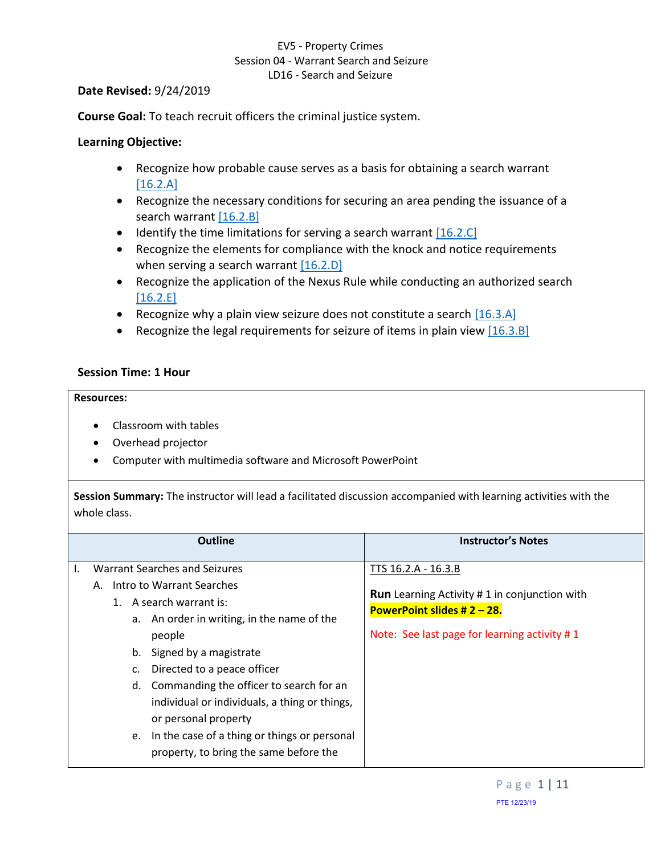## <span id="page-0-2"></span>EV5 - Property Crimes Session 04 - Warrant Search and Seizure LD16 - Search and Seizure

#### **Date Revised:** 9/24/2019

**Course Goal:** To teach recruit officers the criminal justice system.

## **Learning Objective:**

- <span id="page-0-0"></span>• Recognize how probable cause serves as a basis for obtaining a search warrant  $[16.2.A]$
- <span id="page-0-1"></span>• Recognize the necessary conditions for securing an area pending the issuance of a search warrant [\[16.2.B\]](#page-2-1)
- $\bullet$  Identify the time limitations for serving a search warrant  $[16.2.C]$
- <span id="page-0-3"></span>• Recognize the elements for compliance with the knock and notice requirements when serving a search warrant  $[16.2.D]$
- <span id="page-0-4"></span>• Recognize the application of the Nexus Rule while conducting an authorized search [\[16.2.E\]](#page-6-0)
- <span id="page-0-5"></span>• Recognize why a plain view seizure does not constitute a search  $[16.3.A]$
- <span id="page-0-6"></span>• Recognize the legal requirements for seizure of items in plain view  $[16.3.8]$

### **Session Time: 1 Hour**

#### **Resources:**

- Classroom with tables
- Overhead projector
- Computer with multimedia software and Microsoft PowerPoint

**Session Summary:** The instructor will lead a facilitated discussion accompanied with learning activities with the whole class.

|          | <b>Outline</b>                                                                                                                                                                                                                                                                                               | <b>Instructor's Notes</b>                                                                                                                                    |
|----------|--------------------------------------------------------------------------------------------------------------------------------------------------------------------------------------------------------------------------------------------------------------------------------------------------------------|--------------------------------------------------------------------------------------------------------------------------------------------------------------|
| 1.<br>d. | <b>Warrant Searches and Seizures</b><br>A. Intro to Warrant Searches<br>A search warrant is:<br>a. An order in writing, in the name of the<br>people<br>b. Signed by a magistrate<br>Directed to a peace officer<br>Commanding the officer to search for an<br>individual or individuals, a thing or things, | TTS 16.2.A - 16.3.B<br><b>Run</b> Learning Activity #1 in conjunction with<br>PowerPoint slides # $2 - 28$ .<br>Note: See last page for learning activity #1 |
| e.       | or personal property<br>In the case of a thing or things or personal<br>property, to bring the same before the                                                                                                                                                                                               |                                                                                                                                                              |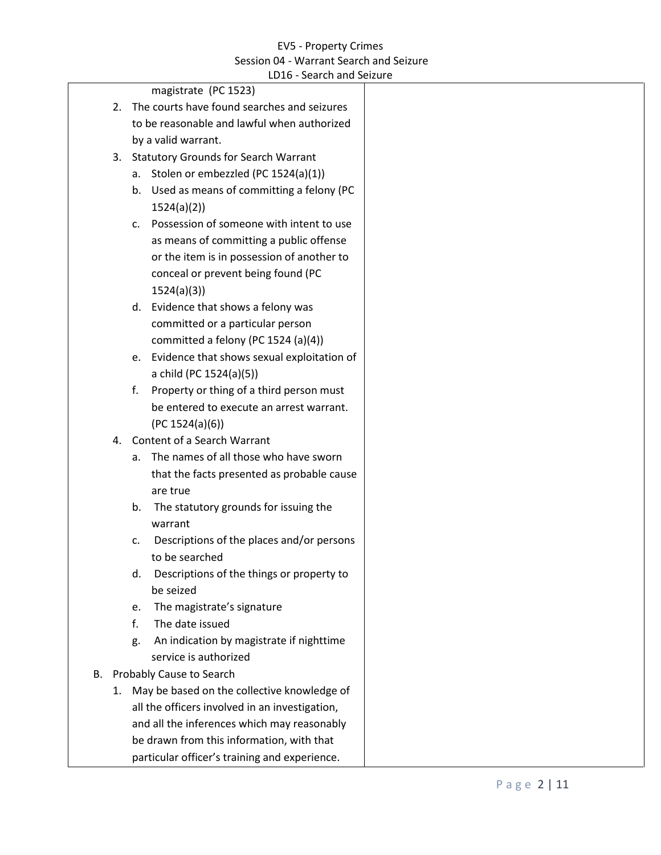|    |    | LD16 - Search and Seizure                                  |  |
|----|----|------------------------------------------------------------|--|
|    |    | magistrate (PC 1523)                                       |  |
|    | 2. | The courts have found searches and seizures                |  |
|    |    | to be reasonable and lawful when authorized                |  |
|    |    | by a valid warrant.                                        |  |
|    |    | 3. Statutory Grounds for Search Warrant                    |  |
|    |    | Stolen or embezzled (PC 1524(a)(1))<br>а.                  |  |
|    |    | Used as means of committing a felony (PC<br>b.             |  |
|    |    | 1524(a)(2)                                                 |  |
|    |    | Possession of someone with intent to use<br>$\mathsf{C}$ . |  |
|    |    | as means of committing a public offense                    |  |
|    |    | or the item is in possession of another to                 |  |
|    |    | conceal or prevent being found (PC                         |  |
|    |    | 1524(a)(3)                                                 |  |
|    |    | d. Evidence that shows a felony was                        |  |
|    |    | committed or a particular person                           |  |
|    |    | committed a felony (PC 1524 (a)(4))                        |  |
|    |    | e. Evidence that shows sexual exploitation of              |  |
|    |    | a child (PC 1524(a)(5))                                    |  |
|    |    | Property or thing of a third person must<br>f.             |  |
|    |    | be entered to execute an arrest warrant.                   |  |
|    |    | (PC 1524(a)(6))                                            |  |
|    | 4. | Content of a Search Warrant                                |  |
|    |    | The names of all those who have sworn<br>a.                |  |
|    |    | that the facts presented as probable cause                 |  |
|    |    | are true                                                   |  |
|    |    | The statutory grounds for issuing the<br>b.                |  |
|    |    | warrant                                                    |  |
|    |    | Descriptions of the places and/or persons<br>c.            |  |
|    |    | to be searched                                             |  |
|    |    | Descriptions of the things or property to<br>d.            |  |
|    |    | be seized                                                  |  |
|    |    | The magistrate's signature<br>e.                           |  |
|    |    | f.<br>The date issued                                      |  |
|    |    | An indication by magistrate if nighttime<br>g.             |  |
|    |    | service is authorized                                      |  |
| В. |    | Probably Cause to Search                                   |  |
|    |    | 1. May be based on the collective knowledge of             |  |
|    |    | all the officers involved in an investigation,             |  |
|    |    | and all the inferences which may reasonably                |  |
|    |    | be drawn from this information, with that                  |  |
|    |    | particular officer's training and experience.              |  |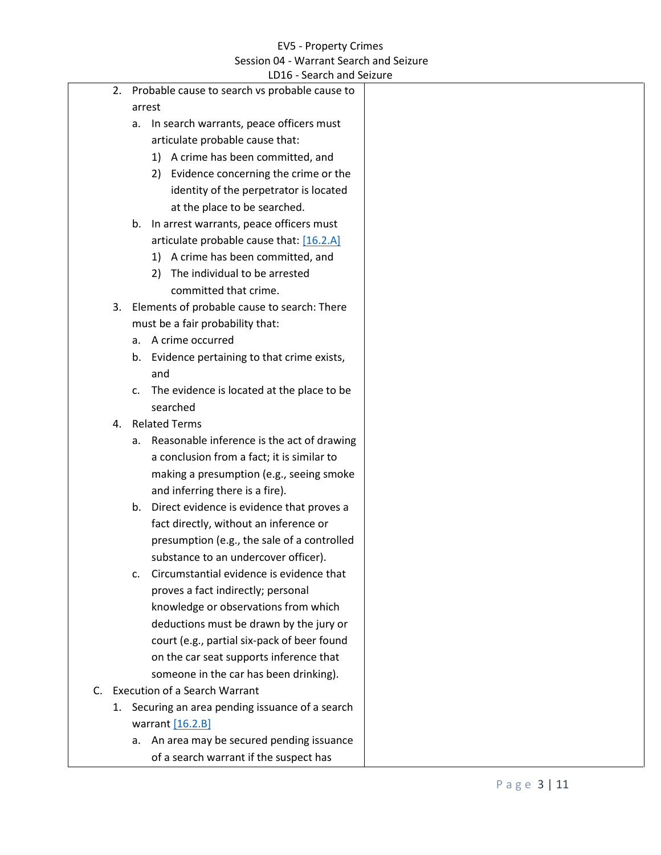<span id="page-2-1"></span><span id="page-2-0"></span>

|    |                                                     |                | LD16 - Search and Seizure                     |  |
|----|-----------------------------------------------------|----------------|-----------------------------------------------|--|
|    | Probable cause to search vs probable cause to<br>2. |                |                                               |  |
|    |                                                     | arrest         |                                               |  |
|    |                                                     | а.             | In search warrants, peace officers must       |  |
|    |                                                     |                | articulate probable cause that:               |  |
|    |                                                     |                | 1) A crime has been committed, and            |  |
|    |                                                     |                | 2) Evidence concerning the crime or the       |  |
|    |                                                     |                | identity of the perpetrator is located        |  |
|    |                                                     |                | at the place to be searched.                  |  |
|    |                                                     |                | b. In arrest warrants, peace officers must    |  |
|    |                                                     |                | articulate probable cause that: [16.2.A]      |  |
|    |                                                     |                | 1) A crime has been committed, and            |  |
|    |                                                     |                | The individual to be arrested<br>2)           |  |
|    |                                                     |                | committed that crime.                         |  |
|    | 3.                                                  |                | Elements of probable cause to search: There   |  |
|    |                                                     |                | must be a fair probability that:              |  |
|    |                                                     | a.             | A crime occurred                              |  |
|    |                                                     | b.             | Evidence pertaining to that crime exists,     |  |
|    |                                                     |                | and                                           |  |
|    |                                                     | $\mathsf{C}$ . | The evidence is located at the place to be    |  |
|    |                                                     |                | searched                                      |  |
|    | 4.                                                  |                | <b>Related Terms</b>                          |  |
|    |                                                     | а.             | Reasonable inference is the act of drawing    |  |
|    |                                                     |                | a conclusion from a fact; it is similar to    |  |
|    |                                                     |                | making a presumption (e.g., seeing smoke      |  |
|    |                                                     |                | and inferring there is a fire).               |  |
|    |                                                     |                | b. Direct evidence is evidence that proves a  |  |
|    |                                                     |                | fact directly, without an inference or        |  |
|    |                                                     |                | presumption (e.g., the sale of a controlled   |  |
|    |                                                     |                | substance to an undercover officer).          |  |
|    |                                                     | C.             | Circumstantial evidence is evidence that      |  |
|    |                                                     |                | proves a fact indirectly; personal            |  |
|    |                                                     |                | knowledge or observations from which          |  |
|    |                                                     |                | deductions must be drawn by the jury or       |  |
|    |                                                     |                | court (e.g., partial six-pack of beer found   |  |
|    |                                                     |                | on the car seat supports inference that       |  |
|    |                                                     |                | someone in the car has been drinking).        |  |
| C. |                                                     |                | <b>Execution of a Search Warrant</b>          |  |
|    | 1.                                                  |                | Securing an area pending issuance of a search |  |
|    |                                                     |                | warrant $[16.2.B]$                            |  |
|    |                                                     |                | a. An area may be secured pending issuance    |  |
|    |                                                     |                | of a search warrant if the suspect has        |  |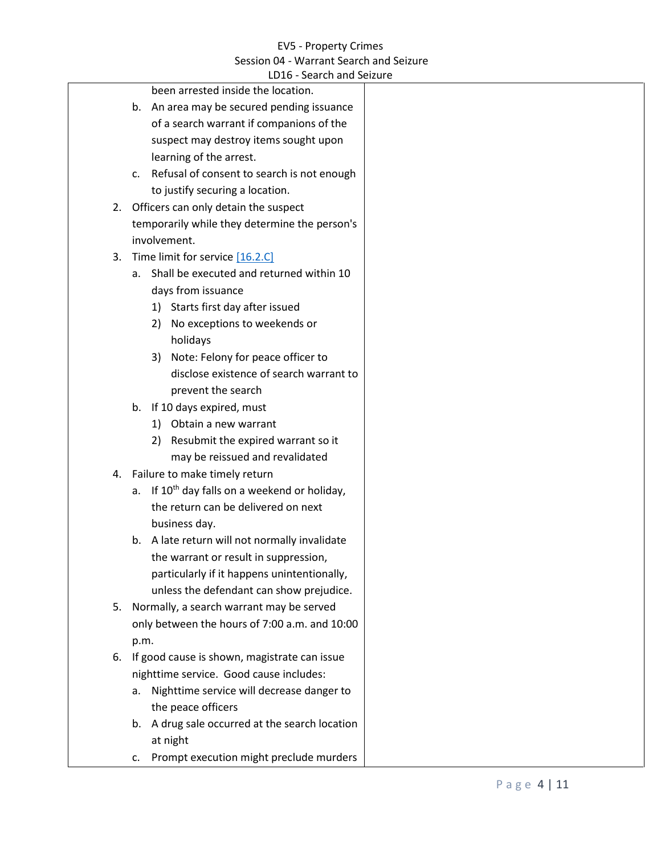<span id="page-3-0"></span>

|    | LD16 - Search and Seizure                                 |
|----|-----------------------------------------------------------|
|    | been arrested inside the location.                        |
|    | b. An area may be secured pending issuance                |
|    | of a search warrant if companions of the                  |
|    | suspect may destroy items sought upon                     |
|    | learning of the arrest.                                   |
|    | c. Refusal of consent to search is not enough             |
|    | to justify securing a location.                           |
| 2. | Officers can only detain the suspect                      |
|    | temporarily while they determine the person's             |
|    | involvement.                                              |
| 3. | Time limit for service [16.2.C]                           |
|    | a. Shall be executed and returned within 10               |
|    | days from issuance                                        |
|    | Starts first day after issued<br>1)                       |
|    | No exceptions to weekends or<br>2)                        |
|    | holidays                                                  |
|    | Note: Felony for peace officer to<br>3)                   |
|    | disclose existence of search warrant to                   |
|    | prevent the search                                        |
|    | b. If 10 days expired, must                               |
|    | 1) Obtain a new warrant                                   |
|    | Resubmit the expired warrant so it<br>2)                  |
|    | may be reissued and revalidated                           |
|    | 4. Failure to make timely return                          |
|    | a. If 10 <sup>th</sup> day falls on a weekend or holiday, |
|    | the return can be delivered on next                       |
|    | business day.                                             |
|    | b. A late return will not normally invalidate             |
|    | the warrant or result in suppression,                     |
|    | particularly if it happens unintentionally,               |
|    | unless the defendant can show prejudice.                  |
| 5. | Normally, a search warrant may be served                  |
|    | only between the hours of 7:00 a.m. and 10:00             |
|    | p.m.                                                      |
| 6. | If good cause is shown, magistrate can issue              |
|    | nighttime service. Good cause includes:                   |
|    | Nighttime service will decrease danger to<br>а.           |
|    | the peace officers                                        |
|    | b. A drug sale occurred at the search location            |
|    | at night                                                  |
|    | Prompt execution might preclude murders<br>c.             |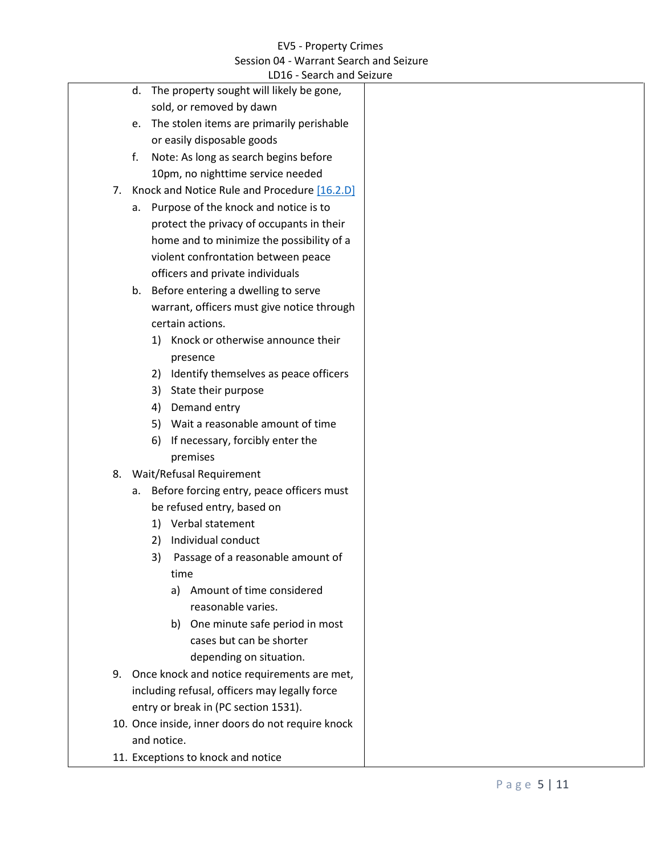<span id="page-4-0"></span>

| LD16 - Search and Seizure                          |  |
|----------------------------------------------------|--|
| d. The property sought will likely be gone,        |  |
| sold, or removed by dawn                           |  |
| e. The stolen items are primarily perishable       |  |
| or easily disposable goods                         |  |
| Note: As long as search begins before<br>f.        |  |
| 10pm, no nighttime service needed                  |  |
| Knock and Notice Rule and Procedure [16.2.D]<br>7. |  |
| a. Purpose of the knock and notice is to           |  |
| protect the privacy of occupants in their          |  |
| home and to minimize the possibility of a          |  |
| violent confrontation between peace                |  |
| officers and private individuals                   |  |
| b. Before entering a dwelling to serve             |  |
| warrant, officers must give notice through         |  |
| certain actions.                                   |  |
| Knock or otherwise announce their<br>1)            |  |
| presence                                           |  |
| 2) Identify themselves as peace officers           |  |
| State their purpose<br>3)                          |  |
| Demand entry<br>4)                                 |  |
| 5) Wait a reasonable amount of time                |  |
| If necessary, forcibly enter the<br>6)             |  |
| premises                                           |  |
| Wait/Refusal Requirement<br>8.                     |  |
| a. Before forcing entry, peace officers must       |  |
| be refused entry, based on                         |  |
| 1) Verbal statement                                |  |
| Individual conduct<br>2)                           |  |
| Passage of a reasonable amount of                  |  |
| time                                               |  |
| Amount of time considered<br>a)                    |  |
| reasonable varies.                                 |  |
| One minute safe period in most<br>b)               |  |
| cases but can be shorter                           |  |
| depending on situation.                            |  |
| 9. Once knock and notice requirements are met,     |  |
| including refusal, officers may legally force      |  |
| entry or break in (PC section 1531).               |  |
| 10. Once inside, inner doors do not require knock  |  |
| and notice.                                        |  |
| 11. Exceptions to knock and notice                 |  |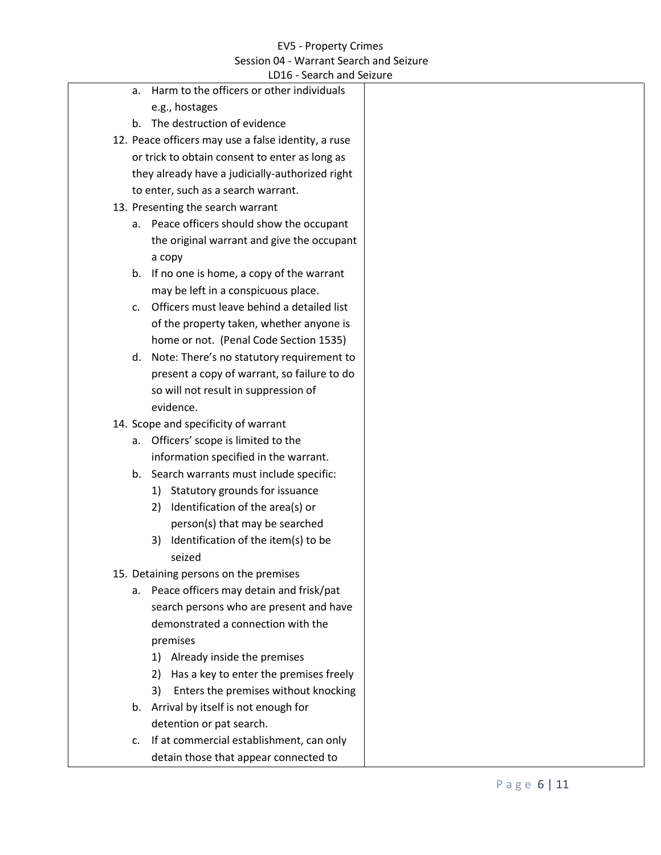|  | LD16 - Search and Seizure                                    |  |
|--|--------------------------------------------------------------|--|
|  | Harm to the officers or other individuals<br>a.              |  |
|  | e.g., hostages                                               |  |
|  | The destruction of evidence<br>b.                            |  |
|  | 12. Peace officers may use a false identity, a ruse          |  |
|  | or trick to obtain consent to enter as long as               |  |
|  | they already have a judicially-authorized right              |  |
|  | to enter, such as a search warrant.                          |  |
|  | 13. Presenting the search warrant                            |  |
|  | a. Peace officers should show the occupant                   |  |
|  | the original warrant and give the occupant                   |  |
|  | а сору                                                       |  |
|  | b. If no one is home, a copy of the warrant                  |  |
|  | may be left in a conspicuous place.                          |  |
|  | Officers must leave behind a detailed list<br>$\mathsf{C}$ . |  |
|  | of the property taken, whether anyone is                     |  |
|  | home or not. (Penal Code Section 1535)                       |  |
|  | d. Note: There's no statutory requirement to                 |  |
|  | present a copy of warrant, so failure to do                  |  |
|  | so will not result in suppression of                         |  |
|  | evidence.                                                    |  |
|  | 14. Scope and specificity of warrant                         |  |
|  | a. Officers' scope is limited to the                         |  |
|  | information specified in the warrant.                        |  |
|  | b. Search warrants must include specific:                    |  |
|  | 1) Statutory grounds for issuance                            |  |
|  | Identification of the area(s) or<br>2)                       |  |
|  | person(s) that may be searched                               |  |
|  | Identification of the item(s) to be<br>3)                    |  |
|  | seized                                                       |  |
|  | 15. Detaining persons on the premises                        |  |
|  | Peace officers may detain and frisk/pat<br>а.                |  |
|  | search persons who are present and have                      |  |
|  | demonstrated a connection with the                           |  |
|  | premises                                                     |  |
|  | Already inside the premises<br>1)                            |  |
|  | Has a key to enter the premises freely<br>2)                 |  |
|  | Enters the premises without knocking<br>3)                   |  |
|  | b. Arrival by itself is not enough for                       |  |
|  | detention or pat search.                                     |  |
|  | If at commercial establishment, can only<br>c.               |  |
|  | detain those that appear connected to                        |  |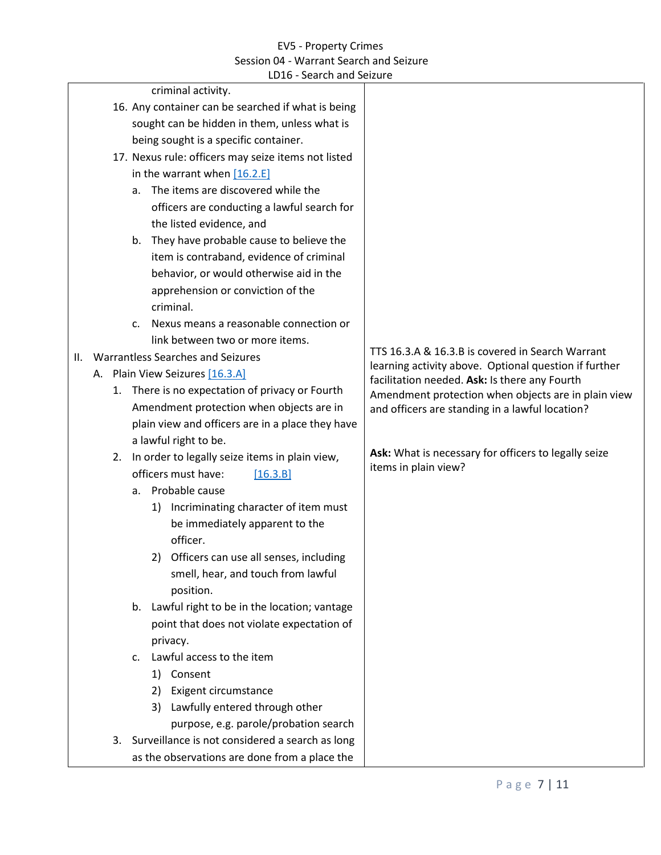<span id="page-6-2"></span><span id="page-6-1"></span><span id="page-6-0"></span>

| LD16 - Search and Seizure                                |                                                                                                                                                               |
|----------------------------------------------------------|---------------------------------------------------------------------------------------------------------------------------------------------------------------|
| criminal activity.                                       |                                                                                                                                                               |
| 16. Any container can be searched if what is being       |                                                                                                                                                               |
| sought can be hidden in them, unless what is             |                                                                                                                                                               |
| being sought is a specific container.                    |                                                                                                                                                               |
| 17. Nexus rule: officers may seize items not listed      |                                                                                                                                                               |
| in the warrant when [16.2.E]                             |                                                                                                                                                               |
| The items are discovered while the<br>a.                 |                                                                                                                                                               |
| officers are conducting a lawful search for              |                                                                                                                                                               |
| the listed evidence, and                                 |                                                                                                                                                               |
| They have probable cause to believe the<br>b.            |                                                                                                                                                               |
| item is contraband, evidence of criminal                 |                                                                                                                                                               |
| behavior, or would otherwise aid in the                  |                                                                                                                                                               |
| apprehension or conviction of the                        |                                                                                                                                                               |
| criminal.                                                |                                                                                                                                                               |
| Nexus means a reasonable connection or<br>$\mathsf{C}$ . |                                                                                                                                                               |
| link between two or more items.                          |                                                                                                                                                               |
| Warrantless Searches and Seizures<br>II.                 | TTS 16.3.A & 16.3.B is covered in Search Warrant                                                                                                              |
| A. Plain View Seizures [16.3.A]                          | learning activity above. Optional question if further<br>facilitation needed. Ask: Is there any Fourth<br>Amendment protection when objects are in plain view |
| 1. There is no expectation of privacy or Fourth          |                                                                                                                                                               |
| Amendment protection when objects are in                 | and officers are standing in a lawful location?                                                                                                               |
| plain view and officers are in a place they have         |                                                                                                                                                               |
| a lawful right to be.                                    |                                                                                                                                                               |
| In order to legally seize items in plain view,<br>2.     | Ask: What is necessary for officers to legally seize                                                                                                          |
| officers must have:<br>[16.3.B]                          | items in plain view?                                                                                                                                          |
| Probable cause<br>а.                                     |                                                                                                                                                               |
| 1) Incriminating character of item must                  |                                                                                                                                                               |
| be immediately apparent to the                           |                                                                                                                                                               |
| officer.                                                 |                                                                                                                                                               |
| 2) Officers can use all senses, including                |                                                                                                                                                               |
| smell, hear, and touch from lawful                       |                                                                                                                                                               |
| position.                                                |                                                                                                                                                               |
| b. Lawful right to be in the location; vantage           |                                                                                                                                                               |
| point that does not violate expectation of               |                                                                                                                                                               |
| privacy.                                                 |                                                                                                                                                               |
| Lawful access to the item<br>$\mathsf{C}$ .              |                                                                                                                                                               |
| 1) Consent                                               |                                                                                                                                                               |
| 2) Exigent circumstance                                  |                                                                                                                                                               |
| 3) Lawfully entered through other                        |                                                                                                                                                               |
| purpose, e.g. parole/probation search                    |                                                                                                                                                               |
| 3. Surveillance is not considered a search as long       |                                                                                                                                                               |
| as the observations are done from a place the            |                                                                                                                                                               |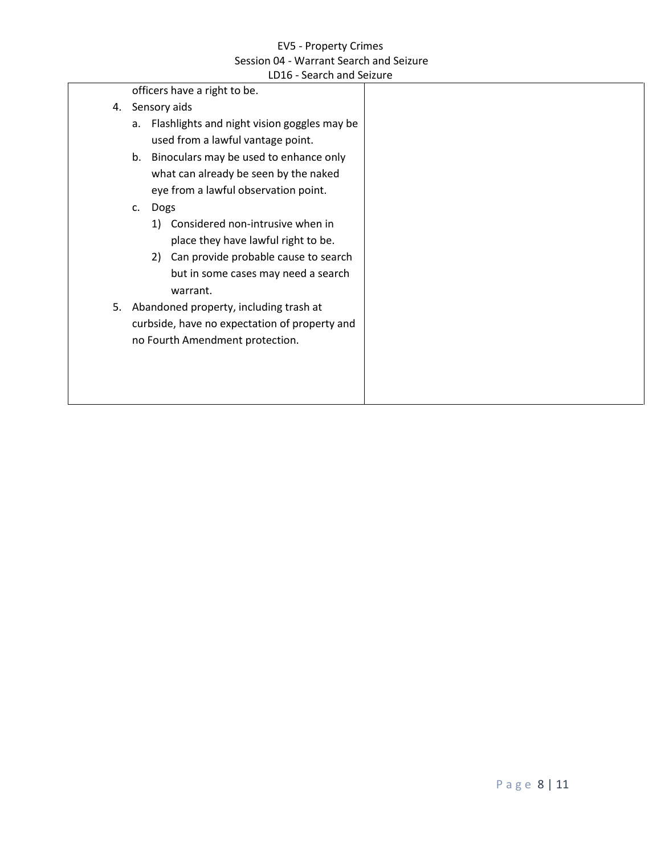|    | LD16 - Search and Seizure                                                                                                                                                   |  |
|----|-----------------------------------------------------------------------------------------------------------------------------------------------------------------------------|--|
|    | officers have a right to be.                                                                                                                                                |  |
| 4. | Sensory aids                                                                                                                                                                |  |
|    | Flashlights and night vision goggles may be<br>a.<br>used from a lawful vantage point.                                                                                      |  |
|    | Binoculars may be used to enhance only<br>b.<br>what can already be seen by the naked<br>eye from a lawful observation point.<br>Dogs<br>$\mathsf{C}$ .                     |  |
|    | Considered non-intrusive when in<br>1)<br>place they have lawful right to be.<br>2) Can provide probable cause to search<br>but in some cases may need a search<br>warrant. |  |
| 5. | Abandoned property, including trash at<br>curbside, have no expectation of property and<br>no Fourth Amendment protection.                                                  |  |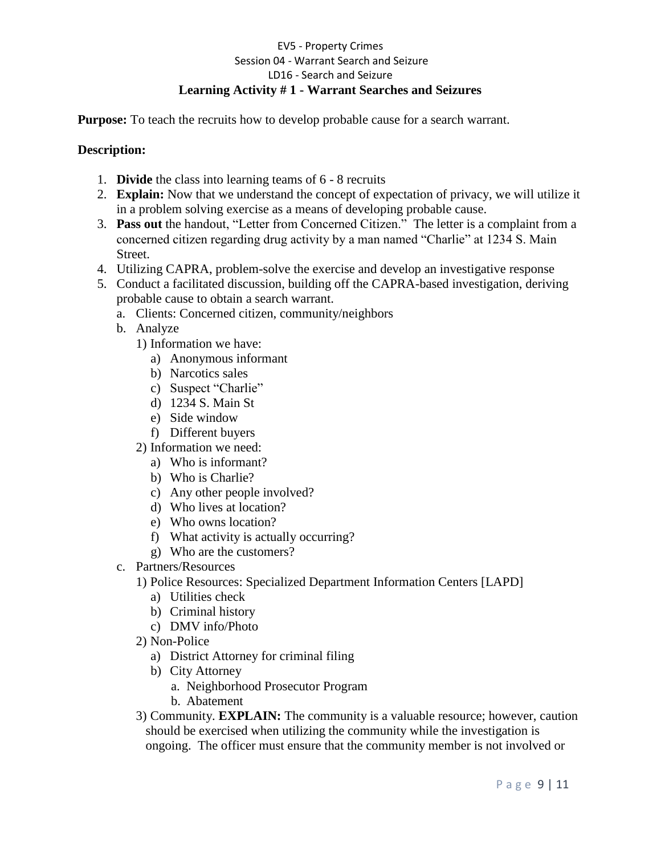## EV5 - Property Crimes Session 04 - Warrant Search and Seizure LD16 - Search and Seizure **Learning Activity # 1 - Warrant Searches and Seizures**

**Purpose:** To teach the recruits how to develop probable cause for a search warrant.

## **Description:**

- 1. **Divide** the class into learning teams of 6 8 recruits
- 2. **Explain:** Now that we understand the concept of expectation of privacy, we will utilize it in a problem solving exercise as a means of developing probable cause.
- 3. **Pass out** the handout, "Letter from Concerned Citizen." The letter is a complaint from a concerned citizen regarding drug activity by a man named "Charlie" at 1234 S. Main Street.
- 4. Utilizing CAPRA, problem-solve the exercise and develop an investigative response
- 5. Conduct a facilitated discussion, building off the CAPRA-based investigation, deriving probable cause to obtain a search warrant.
	- a. Clients: Concerned citizen, community/neighbors
	- b. Analyze
		- 1) Information we have:
			- a) Anonymous informant
			- b) Narcotics sales
			- c) Suspect "Charlie"
			- d) 1234 S. Main St
			- e) Side window
			- f) Different buyers
		- 2) Information we need:
			- a) Who is informant?
			- b) Who is Charlie?
			- c) Any other people involved?
			- d) Who lives at location?
			- e) Who owns location?
			- f) What activity is actually occurring?
			- g) Who are the customers?
	- c. Partners/Resources
		- 1) Police Resources: Specialized Department Information Centers [LAPD]
			- a) Utilities check
			- b) Criminal history
			- c) DMV info/Photo
		- 2) Non-Police
			- a) District Attorney for criminal filing
			- b) City Attorney
				- a. Neighborhood Prosecutor Program
				- b. Abatement
		- 3) Community. **EXPLAIN:** The community is a valuable resource; however, caution should be exercised when utilizing the community while the investigation is ongoing. The officer must ensure that the community member is not involved or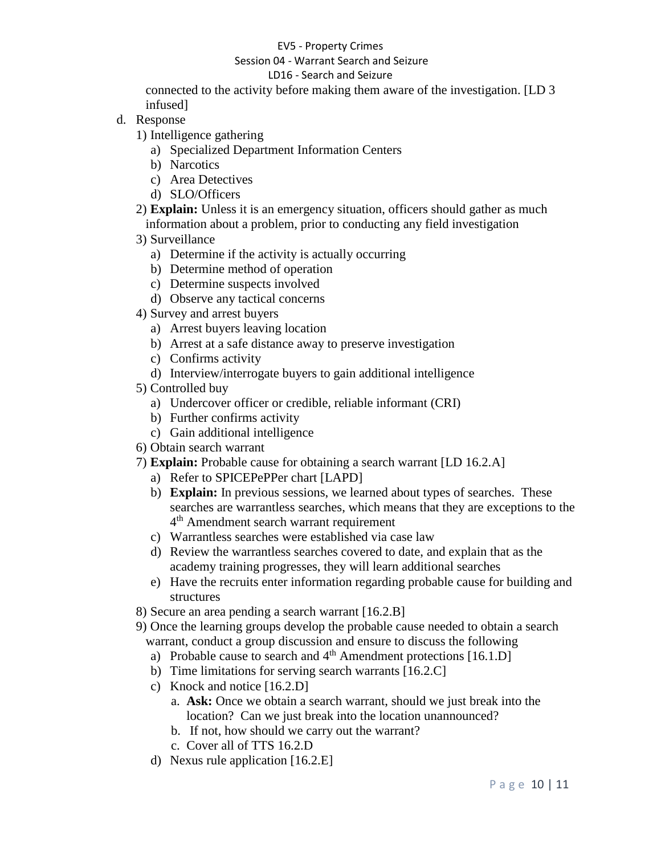#### EV5 - Property Crimes

#### Session 04 - Warrant Search and Seizure

### LD16 - Search and Seizure

connected to the activity before making them aware of the investigation. [LD 3 infused]

- d. Response
	- 1) Intelligence gathering
		- a) Specialized Department Information Centers
		- b) Narcotics
		- c) Area Detectives
		- d) SLO/Officers
	- 2) **Explain:** Unless it is an emergency situation, officers should gather as much information about a problem, prior to conducting any field investigation
	- 3) Surveillance
		- a) Determine if the activity is actually occurring
		- b) Determine method of operation
		- c) Determine suspects involved
		- d) Observe any tactical concerns
	- 4) Survey and arrest buyers
		- a) Arrest buyers leaving location
		- b) Arrest at a safe distance away to preserve investigation
		- c) Confirms activity
		- d) Interview/interrogate buyers to gain additional intelligence
	- 5) Controlled buy
		- a) Undercover officer or credible, reliable informant (CRI)
		- b) Further confirms activity
		- c) Gain additional intelligence
	- 6) Obtain search warrant
	- 7) **Explain:** Probable cause for obtaining a search warrant [LD 16.2.A]
		- a) Refer to SPICEPePPer chart [LAPD]
		- b) **Explain:** In previous sessions, we learned about types of searches. These searches are warrantless searches, which means that they are exceptions to the 4<sup>th</sup> Amendment search warrant requirement
		- c) Warrantless searches were established via case law
		- d) Review the warrantless searches covered to date, and explain that as the academy training progresses, they will learn additional searches
		- e) Have the recruits enter information regarding probable cause for building and structures
	- 8) Secure an area pending a search warrant [16.2.B]
	- 9) Once the learning groups develop the probable cause needed to obtain a search warrant, conduct a group discussion and ensure to discuss the following
		- a) Probable cause to search and  $4<sup>th</sup>$  Amendment protections [16.1.D]
		- b) Time limitations for serving search warrants [16.2.C]
		- c) Knock and notice [16.2.D]
			- a. **Ask:** Once we obtain a search warrant, should we just break into the location? Can we just break into the location unannounced?
			- b. If not, how should we carry out the warrant?
			- c. Cover all of TTS 16.2.D
		- d) Nexus rule application [16.2.E]